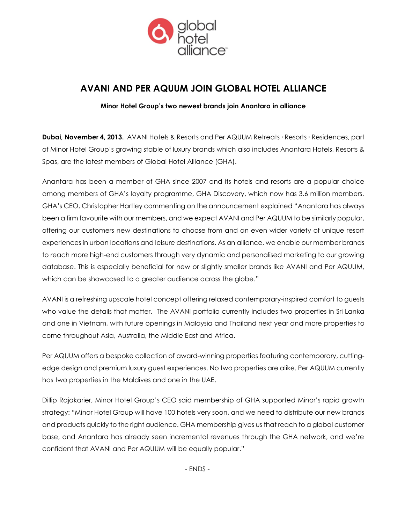

# **AVANI AND PER AQUUM JOIN GLOBAL HOTEL ALLIANCE**

## **Minor Hotel Group's two newest brands join Anantara in alliance**

**Dubai, November 4, 2013.** AVANI Hotels & Resorts and Per AQUUM Retreats **∙** Resorts **∙** Residences, part of Minor Hotel Group's growing stable of luxury brands which also includes Anantara Hotels, Resorts & Spas, are the latest members of Global Hotel Alliance (GHA).

Anantara has been a member of GHA since 2007 and its hotels and resorts are a popular choice among members of GHA's loyalty programme, GHA Discovery, which now has 3.6 million members. GHA's CEO, Christopher Hartley commenting on the announcement explained "Anantara has always been a firm favourite with our members, and we expect AVANI and Per AQUUM to be similarly popular, offering our customers new destinations to choose from and an even wider variety of unique resort experiences in urban locations and leisure destinations. As an alliance, we enable our member brands to reach more high-end customers through very dynamic and personalised marketing to our growing database. This is especially beneficial for new or slightly smaller brands like AVANI and Per AQUUM, which can be showcased to a greater audience across the globe."

AVANI is a refreshing upscale hotel concept offering relaxed contemporary-inspired comfort to guests who value the details that matter. The AVANI portfolio currently includes two properties in Sri Lanka and one in Vietnam, with future openings in Malaysia and Thailand next year and more properties to come throughout Asia, Australia, the Middle East and Africa.

Per AQUUM offers a bespoke collection of award-winning properties featuring contemporary, cuttingedge design and premium luxury guest experiences. No two properties are alike. Per AQUUM currently has two properties in the Maldives and one in the UAE.

Dillip Rajakarier, Minor Hotel Group's CEO said membership of GHA supported Minor's rapid growth strategy: "Minor Hotel Group will have 100 hotels very soon, and we need to distribute our new brands and products quickly to the right audience. GHA membership gives us that reach to a global customer base, and Anantara has already seen incremental revenues through the GHA network, and we're confident that AVANI and Per AQUUM will be equally popular."